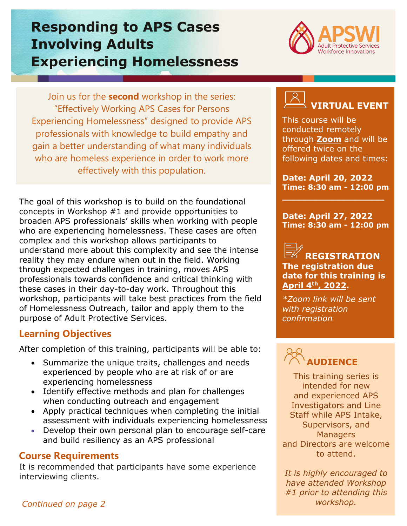## **Responding to APS Cases Involving Adults Experiencing Homelessness**



Join us for the **second** workshop in the series: "Effectively Working APS Cases for Persons Experiencing Homelessness" designed to provide APS professionals with knowledge to build empathy and gain a better understanding of what many individuals who are homeless experience in order to work more effectively with this population.

The goal of this workshop is to build on the foundational concepts in Workshop #1 and provide opportunities to broaden APS professionals' skills when working with people who are experiencing homelessness. These cases are often complex and this workshop allows participants to understand more about this complexity and see the intense reality they may endure when out in the field. Working through expected challenges in training, moves APS professionals towards confidence and critical thinking with these cases in their day-to-day work. Throughout this workshop, participants will take best practices from the field of Homelessness Outreach, tailor and apply them to the purpose of Adult Protective Services.

#### **Learning Objectives**

After completion of this training, participants will be able to:

- Summarize the unique traits, challenges and needs experienced by people who are at risk of or are experiencing homelessness
- Identify effective methods and plan for challenges when conducting outreach and engagement
- Apply practical techniques when completing the initial assessment with individuals experiencing homelessness
- Develop their own personal plan to encourage self-care and build resiliency as an APS professional

## **Course Requirements**

It is recommended that participants have some experience interviewing clients.



This course will be conducted remotely through **[Zoom](https://zoom.us/)** and will be offered twice on the following dates and times:

**Date: April 20, 2022 Time: 8:30 am - 12:00 pm**

**\_\_\_\_\_\_\_\_\_\_\_\_\_\_\_\_\_\_**

**Date: April 27, 2022 Time: 8:30 am - 12:00 pm**

**REGISTRATION The registration due date for this training is April 4th, 2022.**

*\*Zoom link will be sent with registration confirmation*

# **AUDIENCE**

This training series is intended for new and experienced APS Investigators and Line Staff while APS Intake, Supervisors, and **Managers** and Directors are welcome to attend.

*It is highly encouraged to have attended Workshop #1 prior to attending this workshop.*